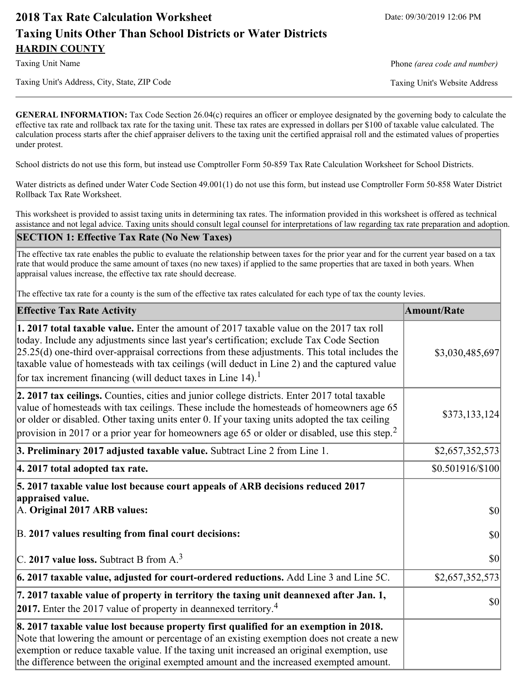# **2018 Tax Rate Calculation Worksheet** Date: 09/30/2019 12:06 PM **Taxing Units Other Than School Districts or Water Districts HARDIN COUNTY**

Taxing Unit Name **Phone** *(area code and number)* Phone *(area code and number)* 

Taxing Unit's Address, City, State, ZIP Code Taxing Unit's Website Address

**GENERAL INFORMATION:** Tax Code Section 26.04(c) requires an officer or employee designated by the governing body to calculate the effective tax rate and rollback tax rate for the taxing unit. These tax rates are expressed in dollars per \$100 of taxable value calculated. The calculation process starts after the chief appraiser delivers to the taxing unit the certified appraisal roll and the estimated values of properties under protest.

School districts do not use this form, but instead use Comptroller Form 50-859 Tax Rate Calculation Worksheet for School Districts.

Water districts as defined under Water Code Section 49.001(1) do not use this form, but instead use Comptroller Form 50-858 Water District Rollback Tax Rate Worksheet.

This worksheet is provided to assist taxing units in determining tax rates. The information provided in this worksheet is offered as technical assistance and not legal advice. Taxing units should consult legal counsel for interpretations of law regarding tax rate preparation and adoption.

#### **SECTION 1: Effective Tax Rate (No New Taxes)**

The effective tax rate enables the public to evaluate the relationship between taxes for the prior year and for the current year based on a tax rate that would produce the same amount of taxes (no new taxes) if applied to the same properties that are taxed in both years. When appraisal values increase, the effective tax rate should decrease.

The effective tax rate for a county is the sum of the effective tax rates calculated for each type of tax the county levies.

| <b>Effective Tax Rate Activity</b>                                                                                                                                                                                                                                                                                                                                                                                                                                   | <b>Amount/Rate</b> |
|----------------------------------------------------------------------------------------------------------------------------------------------------------------------------------------------------------------------------------------------------------------------------------------------------------------------------------------------------------------------------------------------------------------------------------------------------------------------|--------------------|
| 1. 2017 total taxable value. Enter the amount of 2017 taxable value on the 2017 tax roll<br>today. Include any adjustments since last year's certification; exclude Tax Code Section<br>$[25.25(d)$ one-third over-appraisal corrections from these adjustments. This total includes the<br>taxable value of homesteads with tax ceilings (will deduct in Line 2) and the captured value<br>for tax increment financing (will deduct taxes in Line 14). <sup>1</sup> | \$3,030,485,697    |
| 2. 2017 tax ceilings. Counties, cities and junior college districts. Enter 2017 total taxable<br>value of homesteads with tax ceilings. These include the homesteads of homeowners age 65<br>or older or disabled. Other taxing units enter 0. If your taxing units adopted the tax ceiling<br>provision in 2017 or a prior year for homeowners age 65 or older or disabled, use this step. <sup>2</sup>                                                             | \$373,133,124]     |
| 3. Preliminary 2017 adjusted taxable value. Subtract Line 2 from Line 1.                                                                                                                                                                                                                                                                                                                                                                                             | \$2,657,352,573    |
| $ 4.2017$ total adopted tax rate.                                                                                                                                                                                                                                                                                                                                                                                                                                    | \$0.501916/\$100   |
| 5. 2017 taxable value lost because court appeals of ARB decisions reduced 2017<br>appraised value.<br>A. Original 2017 ARB values:                                                                                                                                                                                                                                                                                                                                   | <b>\$0</b>         |
| B. 2017 values resulting from final court decisions:                                                                                                                                                                                                                                                                                                                                                                                                                 | $ 10\rangle$       |
| $\vert$ C. 2017 value loss. Subtract B from A. $^3$                                                                                                                                                                                                                                                                                                                                                                                                                  | 30                 |
| $\vert$ 6. 2017 taxable value, adjusted for court-ordered reductions. Add Line 3 and Line 5C.                                                                                                                                                                                                                                                                                                                                                                        | \$2,657,352,573    |
| 7. 2017 taxable value of property in territory the taxing unit deannexed after Jan. 1,<br><b>2017.</b> Enter the 2017 value of property in deannexed territory. <sup>4</sup>                                                                                                                                                                                                                                                                                         | $ 10\rangle$       |
| 8. 2017 taxable value lost because property first qualified for an exemption in 2018.<br>Note that lowering the amount or percentage of an existing exemption does not create a new<br>exemption or reduce taxable value. If the taxing unit increased an original exemption, use<br>the difference between the original exempted amount and the increased exempted amount.                                                                                          |                    |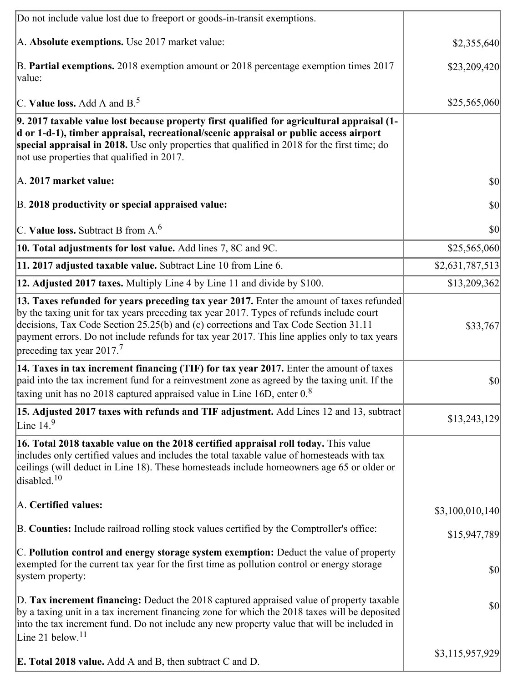| Do not include value lost due to freeport or goods-in-transit exemptions.                                                                                                                                                                                                                                                                                                                                                |                 |
|--------------------------------------------------------------------------------------------------------------------------------------------------------------------------------------------------------------------------------------------------------------------------------------------------------------------------------------------------------------------------------------------------------------------------|-----------------|
| A. Absolute exemptions. Use 2017 market value:                                                                                                                                                                                                                                                                                                                                                                           | \$2,355,640     |
| B. Partial exemptions. 2018 exemption amount or 2018 percentage exemption times 2017<br>value:                                                                                                                                                                                                                                                                                                                           | \$23,209,420    |
| C. Value loss. Add A and $B^5$                                                                                                                                                                                                                                                                                                                                                                                           | \$25,565,060    |
| 9. 2017 taxable value lost because property first qualified for agricultural appraisal (1-<br>d or 1-d-1), timber appraisal, recreational/scenic appraisal or public access airport<br>special appraisal in 2018. Use only properties that qualified in 2018 for the first time; do<br>not use properties that qualified in 2017.                                                                                        |                 |
| A. 2017 market value:                                                                                                                                                                                                                                                                                                                                                                                                    | 30              |
| B. 2018 productivity or special appraised value:                                                                                                                                                                                                                                                                                                                                                                         | \$0             |
| C. Value loss. Subtract B from $A6$                                                                                                                                                                                                                                                                                                                                                                                      | \$0             |
| 10. Total adjustments for lost value. Add lines 7, 8C and 9C.                                                                                                                                                                                                                                                                                                                                                            | \$25,565,060    |
| 11. 2017 adjusted taxable value. Subtract Line 10 from Line 6.                                                                                                                                                                                                                                                                                                                                                           | \$2,631,787,513 |
| 12. Adjusted 2017 taxes. Multiply Line 4 by Line 11 and divide by \$100.                                                                                                                                                                                                                                                                                                                                                 | \$13,209,362    |
| 13. Taxes refunded for years preceding tax year 2017. Enter the amount of taxes refunded<br>by the taxing unit for tax years preceding tax year 2017. Types of refunds include court<br>decisions, Tax Code Section 25.25(b) and (c) corrections and Tax Code Section 31.11<br>payment errors. Do not include refunds for tax year 2017. This line applies only to tax years<br>preceding tax year $2017$ . <sup>7</sup> | \$33,767        |
| 14. Taxes in tax increment financing (TIF) for tax year 2017. Enter the amount of taxes<br>paid into the tax increment fund for a reinvestment zone as agreed by the taxing unit. If the<br>taxing unit has no 2018 captured appraised value in Line 16D, enter $08$                                                                                                                                                     | $ 10\rangle$    |
| 15. Adjusted 2017 taxes with refunds and TIF adjustment. Add Lines 12 and 13, subtract<br>Line $14.9$                                                                                                                                                                                                                                                                                                                    | \$13,243,129    |
| 16. Total 2018 taxable value on the 2018 certified appraisal roll today. This value<br>includes only certified values and includes the total taxable value of homesteads with tax<br>ceilings (will deduct in Line 18). These homesteads include homeowners age 65 or older or<br>disabled. <sup>10</sup>                                                                                                                |                 |
| A. Certified values:                                                                                                                                                                                                                                                                                                                                                                                                     | \$3,100,010,140 |
| B. Counties: Include railroad rolling stock values certified by the Comptroller's office:                                                                                                                                                                                                                                                                                                                                | \$15,947,789    |
| C. Pollution control and energy storage system exemption: Deduct the value of property<br>exempted for the current tax year for the first time as pollution control or energy storage<br>system property:                                                                                                                                                                                                                | \$0             |
| D. Tax increment financing: Deduct the 2018 captured appraised value of property taxable<br>by a taxing unit in a tax increment financing zone for which the 2018 taxes will be deposited<br>into the tax increment fund. Do not include any new property value that will be included in<br>Line 21 below. <sup>11</sup>                                                                                                 | \$0             |
| <b>E. Total 2018 value.</b> Add A and B, then subtract C and D.                                                                                                                                                                                                                                                                                                                                                          | \$3,115,957,929 |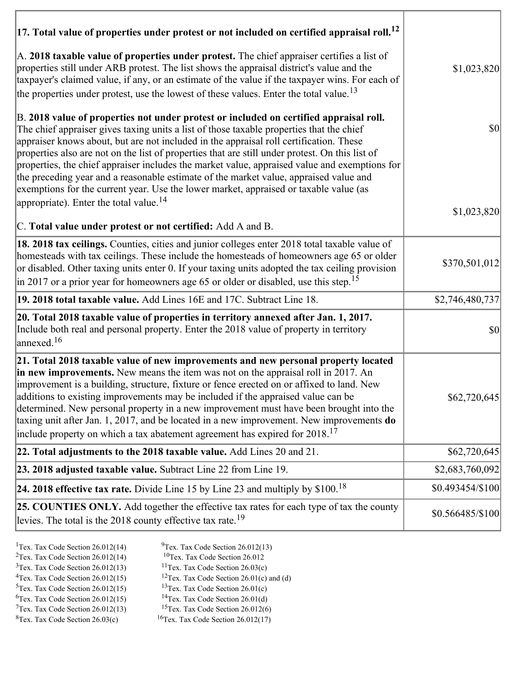| $ 17$ . Total value of properties under protest or not included on certified appraisal roll. <sup>12</sup>                                                                                                                                                                                                                                                                                                                                                                                                                                                                                                                                                                                                               |                   |
|--------------------------------------------------------------------------------------------------------------------------------------------------------------------------------------------------------------------------------------------------------------------------------------------------------------------------------------------------------------------------------------------------------------------------------------------------------------------------------------------------------------------------------------------------------------------------------------------------------------------------------------------------------------------------------------------------------------------------|-------------------|
| A. 2018 taxable value of properties under protest. The chief appraiser certifies a list of<br>properties still under ARB protest. The list shows the appraisal district's value and the<br>taxpayer's claimed value, if any, or an estimate of the value if the taxpayer wins. For each of<br>the properties under protest, use the lowest of these values. Enter the total value. <sup>13</sup>                                                                                                                                                                                                                                                                                                                         | \$1,023,820       |
| B. 2018 value of properties not under protest or included on certified appraisal roll.<br>The chief appraiser gives taxing units a list of those taxable properties that the chief<br>appraiser knows about, but are not included in the appraisal roll certification. These<br>properties also are not on the list of properties that are still under protest. On this list of<br>properties, the chief appraiser includes the market value, appraised value and exemptions for<br>the preceding year and a reasonable estimate of the market value, appraised value and<br>exemptions for the current year. Use the lower market, appraised or taxable value (as<br>appropriate). Enter the total value. <sup>14</sup> | $ 10\rangle$      |
|                                                                                                                                                                                                                                                                                                                                                                                                                                                                                                                                                                                                                                                                                                                          | \$1,023,820       |
| C. Total value under protest or not certified: Add A and B.                                                                                                                                                                                                                                                                                                                                                                                                                                                                                                                                                                                                                                                              |                   |
| 18. 2018 tax ceilings. Counties, cities and junior colleges enter 2018 total taxable value of<br>homesteads with tax ceilings. These include the homesteads of homeowners age 65 or older<br>or disabled. Other taxing units enter 0. If your taxing units adopted the tax ceiling provision<br>in 2017 or a prior year for homeowners age 65 or older or disabled, use this step. <sup>15</sup>                                                                                                                                                                                                                                                                                                                         | \$370,501,012     |
| 19. 2018 total taxable value. Add Lines 16E and 17C. Subtract Line 18.                                                                                                                                                                                                                                                                                                                                                                                                                                                                                                                                                                                                                                                   | \$2,746,480,737   |
| 20. Total 2018 taxable value of properties in territory annexed after Jan. 1, 2017.<br>Include both real and personal property. Enter the 2018 value of property in territory<br>annexed. <sup>16</sup>                                                                                                                                                                                                                                                                                                                                                                                                                                                                                                                  | $ 10\rangle$      |
| 21. Total 2018 taxable value of new improvements and new personal property located<br>in new improvements. New means the item was not on the appraisal roll in 2017. An<br>improvement is a building, structure, fixture or fence erected on or affixed to land. New<br>additions to existing improvements may be included if the appraised value can be<br>determined. New personal property in a new improvement must have been brought into the<br>taxing unit after Jan. 1, 2017, and be located in a new improvement. New improvements do<br>include property on which a tax abatement agreement has expired for $2018$ . <sup>17</sup>                                                                             | \$62,720,645      |
| 22. Total adjustments to the 2018 taxable value. Add Lines 20 and 21.                                                                                                                                                                                                                                                                                                                                                                                                                                                                                                                                                                                                                                                    | \$62,720,645      |
| 23. 2018 adjusted taxable value. Subtract Line 22 from Line 19.                                                                                                                                                                                                                                                                                                                                                                                                                                                                                                                                                                                                                                                          | \$2,683,760,092   |
| 24. 2018 effective tax rate. Divide Line 15 by Line 23 and multiply by $$100.18$                                                                                                                                                                                                                                                                                                                                                                                                                                                                                                                                                                                                                                         | \$0.493454/\$100  |
| 25. COUNTIES ONLY. Add together the effective tax rates for each type of tax the county<br>levies. The total is the 2018 county effective tax rate. <sup>19</sup>                                                                                                                                                                                                                                                                                                                                                                                                                                                                                                                                                        | $$0.566485/\$100$ |

- 
- 
- 
- ${}^{3}$ Tex. Tax Code Section 26.012(13)<br> ${}^{4}$ Tex. Tax Code Section 26.012(15)
- -
- <sup>1</sup>Tex. Tax Code Section 26.012(14) <sup>9</sup>Tex. Tax Code Section 26.012(13) <sup>9</sup>Tex. Tax Code Section 26.012 <sup>2</sup>Tex. Tax Code Section 26.012(14) <sup>10</sup>Tex. Tax Code Section 26.012<br><sup>3</sup>Tex. Tax Code Section 26.03(c) <sup>11</sup>Tex. Tax Code Section 26.03(c)
	-
	- <sup>12</sup>Tex. Tax Code Section 26.01(c) and (d) <sup>13</sup>Tex. Tax Code Section 26.01(c)
- <sup>5</sup>Tex. Tax Code Section 26.012(15) <sup>13</sup>Tex. Tax Code Section 26.01(c)<br><sup>6</sup>Tex. Tax Code Section 26.012(15) <sup>14</sup>Tex. Tax Code Section 26.01(d)
	-
- <sup>6</sup>Tex. Tax Code Section 26.012(15) <sup>14</sup>Tex. Tax Code Section 26.01(d)<br><sup>7</sup>Tex. Tax Code Section 26.012(13) <sup>15</sup>Tex. Tax Code Section 26.012(6)
- $7$ Tex. Tax Code Section 26.012(13)<br><sup>8</sup>Tex. Tax Code Section 26.03(c)  $16$ Tex. Tax Code Section 26.012(17)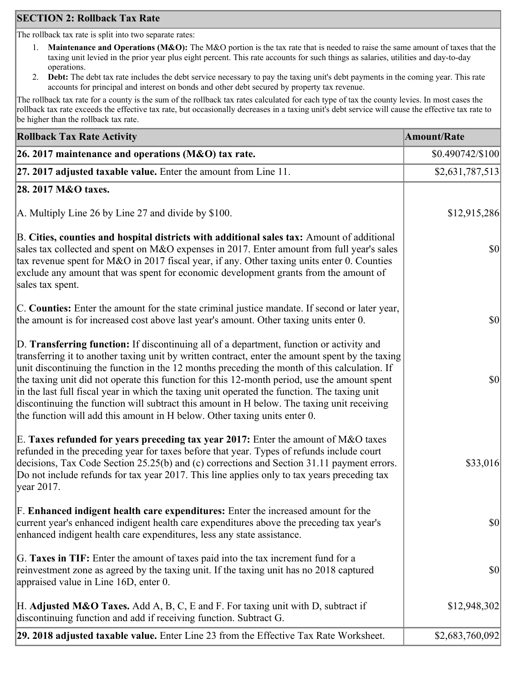## **SECTION 2: Rollback Tax Rate**

The rollback tax rate is split into two separate rates:

- 1. **Maintenance and Operations (M&O):** The M&O portion is the tax rate that is needed to raise the same amount of taxes that the taxing unit levied in the prior year plus eight percent. This rate accounts for such things as salaries, utilities and day-to-day operations.
- 2. **Debt:** The debt tax rate includes the debt service necessary to pay the taxing unit's debt payments in the coming year. This rate accounts for principal and interest on bonds and other debt secured by property tax revenue.

The rollback tax rate for a county is the sum of the rollback tax rates calculated for each type of tax the county levies. In most cases the rollback tax rate exceeds the effective tax rate, but occasionally decreases in a taxing unit's debt service will cause the effective tax rate to be higher than the rollback tax rate.

| <b>Rollback Tax Rate Activity</b>                                                                                                                                                                                                                                                                                                                                                                                                                                                                                                                                                                                                                                       | <b>Amount/Rate</b> |
|-------------------------------------------------------------------------------------------------------------------------------------------------------------------------------------------------------------------------------------------------------------------------------------------------------------------------------------------------------------------------------------------------------------------------------------------------------------------------------------------------------------------------------------------------------------------------------------------------------------------------------------------------------------------------|--------------------|
| 26. 2017 maintenance and operations ( $M&O$ ) tax rate.                                                                                                                                                                                                                                                                                                                                                                                                                                                                                                                                                                                                                 | \$0.490742/\$100   |
| 27. 2017 adjusted taxable value. Enter the amount from Line 11.                                                                                                                                                                                                                                                                                                                                                                                                                                                                                                                                                                                                         | \$2,631,787,513    |
| 28. 2017 M&O taxes.                                                                                                                                                                                                                                                                                                                                                                                                                                                                                                                                                                                                                                                     |                    |
| A. Multiply Line 26 by Line 27 and divide by $$100$ .                                                                                                                                                                                                                                                                                                                                                                                                                                                                                                                                                                                                                   | \$12,915,286       |
| B. Cities, counties and hospital districts with additional sales tax: Amount of additional<br>sales tax collected and spent on M&O expenses in 2017. Enter amount from full year's sales<br>tax revenue spent for M&O in 2017 fiscal year, if any. Other taxing units enter 0. Counties<br>exclude any amount that was spent for economic development grants from the amount of<br>sales tax spent.                                                                                                                                                                                                                                                                     | <b>\$0</b>         |
| C. Counties: Enter the amount for the state criminal justice mandate. If second or later year,<br>the amount is for increased cost above last year's amount. Other taxing units enter 0.                                                                                                                                                                                                                                                                                                                                                                                                                                                                                | $ 10\rangle$       |
| D. Transferring function: If discontinuing all of a department, function or activity and<br>transferring it to another taxing unit by written contract, enter the amount spent by the taxing<br>unit discontinuing the function in the 12 months preceding the month of this calculation. If<br>the taxing unit did not operate this function for this 12-month period, use the amount spent<br>in the last full fiscal year in which the taxing unit operated the function. The taxing unit<br>discontinuing the function will subtract this amount in H below. The taxing unit receiving<br>the function will add this amount in H below. Other taxing units enter 0. | $ 10\rangle$       |
| E. Taxes refunded for years preceding tax year 2017: Enter the amount of M&O taxes<br>refunded in the preceding year for taxes before that year. Types of refunds include court<br>decisions, Tax Code Section 25.25(b) and (c) corrections and Section 31.11 payment errors.<br>Do not include refunds for tax year 2017. This line applies only to tax years preceding tax<br> year 2017.                                                                                                                                                                                                                                                                             | \$33,016           |
| F. Enhanced indigent health care expenditures: Enter the increased amount for the<br>current year's enhanced indigent health care expenditures above the preceding tax year's<br>enhanced indigent health care expenditures, less any state assistance.                                                                                                                                                                                                                                                                                                                                                                                                                 | <b>\$0</b>         |
| G. Taxes in TIF: Enter the amount of taxes paid into the tax increment fund for a<br>reinvestment zone as agreed by the taxing unit. If the taxing unit has no 2018 captured<br>appraised value in Line 16D, enter 0.                                                                                                                                                                                                                                                                                                                                                                                                                                                   | $ 10\rangle$       |
| H. Adjusted M&O Taxes. Add A, B, C, E and F. For taxing unit with D, subtract if<br>discontinuing function and add if receiving function. Subtract G.                                                                                                                                                                                                                                                                                                                                                                                                                                                                                                                   | \$12,948,302       |
| 29. 2018 adjusted taxable value. Enter Line 23 from the Effective Tax Rate Worksheet.                                                                                                                                                                                                                                                                                                                                                                                                                                                                                                                                                                                   | \$2,683,760,092    |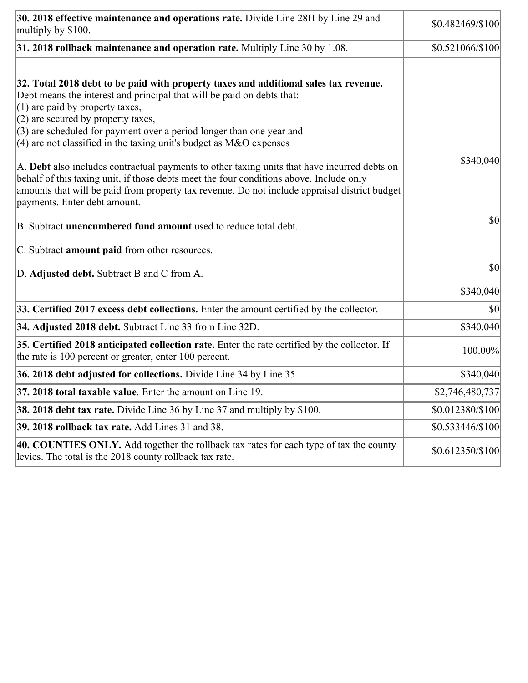| 30. 2018 effective maintenance and operations rate. Divide Line 28H by Line 29 and<br>multiply by \$100.                                                                                                                                                                                                                                                                                      | \$0.482469/\$100  |
|-----------------------------------------------------------------------------------------------------------------------------------------------------------------------------------------------------------------------------------------------------------------------------------------------------------------------------------------------------------------------------------------------|-------------------|
| $31.2018$ rollback maintenance and operation rate. Multiply Line 30 by 1.08.                                                                                                                                                                                                                                                                                                                  | \$0.521066/\$100  |
| 32. Total 2018 debt to be paid with property taxes and additional sales tax revenue.<br>Debt means the interest and principal that will be paid on debts that:<br>$(1)$ are paid by property taxes,<br>$(2)$ are secured by property taxes,<br>$(3)$ are scheduled for payment over a period longer than one year and<br>$(4)$ are not classified in the taxing unit's budget as M&O expenses |                   |
| A. Debt also includes contractual payments to other taxing units that have incurred debts on<br>behalf of this taxing unit, if those debts meet the four conditions above. Include only<br>amounts that will be paid from property tax revenue. Do not include appraisal district budget<br>payments. Enter debt amount.                                                                      | \$340,040         |
| B. Subtract unencumbered fund amount used to reduce total debt.                                                                                                                                                                                                                                                                                                                               | \$0               |
| C. Subtract <b>amount paid</b> from other resources.                                                                                                                                                                                                                                                                                                                                          |                   |
| D. Adjusted debt. Subtract B and C from A.                                                                                                                                                                                                                                                                                                                                                    | \$0               |
|                                                                                                                                                                                                                                                                                                                                                                                               | \$340,040         |
| 33. Certified 2017 excess debt collections. Enter the amount certified by the collector.                                                                                                                                                                                                                                                                                                      | \$0               |
| 34. Adjusted 2018 debt. Subtract Line 33 from Line 32D.                                                                                                                                                                                                                                                                                                                                       | \$340,040         |
| 35. Certified 2018 anticipated collection rate. Enter the rate certified by the collector. If<br>the rate is 100 percent or greater, enter 100 percent.                                                                                                                                                                                                                                       | 100.00%           |
| 36. 2018 debt adjusted for collections. Divide Line 34 by Line 35                                                                                                                                                                                                                                                                                                                             | \$340,040         |
| 37. 2018 total taxable value. Enter the amount on Line 19.                                                                                                                                                                                                                                                                                                                                    | \$2,746,480,737   |
| <b>38. 2018 debt tax rate.</b> Divide Line 36 by Line 37 and multiply by \$100.                                                                                                                                                                                                                                                                                                               | \$0.012380/\$100  |
| 39. 2018 rollback tax rate. Add Lines 31 and 38.                                                                                                                                                                                                                                                                                                                                              | \$0.533446/\$100  |
| 40. COUNTIES ONLY. Add together the rollback tax rates for each type of tax the county<br>levies. The total is the 2018 county rollback tax rate.                                                                                                                                                                                                                                             | $$0.612350/\$100$ |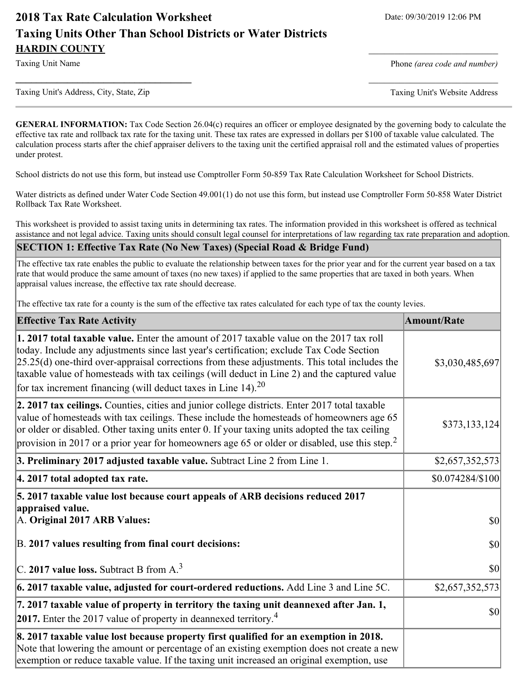# **2018 Tax Rate Calculation Worksheet** Date: 09/30/2019 12:06 PM **Taxing Units Other Than School Districts or Water Districts HARDIN COUNTY**

Taxing Unit Name **Phone** *(area code and number)* Phone *(area code and number)* 

Taxing Unit's Address, City, State, Zip Taxing Unit's Website Address

**GENERAL INFORMATION:** Tax Code Section 26.04(c) requires an officer or employee designated by the governing body to calculate the effective tax rate and rollback tax rate for the taxing unit. These tax rates are expressed in dollars per \$100 of taxable value calculated. The calculation process starts after the chief appraiser delivers to the taxing unit the certified appraisal roll and the estimated values of properties under protest.

**\_\_\_\_\_\_\_\_\_\_\_\_\_\_\_\_\_\_\_\_\_\_\_\_\_\_\_\_\_\_\_\_\_\_** \_\_\_\_\_\_\_\_\_\_\_\_\_\_\_\_\_\_\_\_\_\_\_\_\_

School districts do not use this form, but instead use Comptroller Form 50-859 Tax Rate Calculation Worksheet for School Districts.

Water districts as defined under Water Code Section 49.001(1) do not use this form, but instead use Comptroller Form 50-858 Water District Rollback Tax Rate Worksheet.

This worksheet is provided to assist taxing units in determining tax rates. The information provided in this worksheet is offered as technical assistance and not legal advice. Taxing units should consult legal counsel for interpretations of law regarding tax rate preparation and adoption.

**SECTION 1: Effective Tax Rate (No New Taxes) (Special Road & Bridge Fund)**

The effective tax rate enables the public to evaluate the relationship between taxes for the prior year and for the current year based on a tax rate that would produce the same amount of taxes (no new taxes) if applied to the same properties that are taxed in both years. When appraisal values increase, the effective tax rate should decrease.

The effective tax rate for a county is the sum of the effective tax rates calculated for each type of tax the county levies.

| <b>Effective Tax Rate Activity</b>                                                                                                                                                                                                                                                                                                                                                                                                                              | <b>Amount/Rate</b> |
|-----------------------------------------------------------------------------------------------------------------------------------------------------------------------------------------------------------------------------------------------------------------------------------------------------------------------------------------------------------------------------------------------------------------------------------------------------------------|--------------------|
| 1. 2017 total taxable value. Enter the amount of 2017 taxable value on the 2017 tax roll<br>today. Include any adjustments since last year's certification; exclude Tax Code Section<br>$[25.25(d)$ one-third over-appraisal corrections from these adjustments. This total includes the<br>taxable value of homesteads with tax ceilings (will deduct in Line 2) and the captured value<br>for tax increment financing (will deduct taxes in Line 14). $^{20}$ | \$3,030,485,697    |
| 2. 2017 tax ceilings. Counties, cities and junior college districts. Enter 2017 total taxable<br>value of homesteads with tax ceilings. These include the homesteads of homeowners age 65<br>or older or disabled. Other taxing units enter 0. If your taxing units adopted the tax ceiling<br>provision in 2017 or a prior year for homeowners age 65 or older or disabled, use this step. <sup>2</sup>                                                        | \$373,133,124      |
| 3. Preliminary 2017 adjusted taxable value. Subtract Line 2 from Line 1.                                                                                                                                                                                                                                                                                                                                                                                        | \$2,657,352,573    |
| 4. 2017 total adopted tax rate.                                                                                                                                                                                                                                                                                                                                                                                                                                 | \$0.074284/\$100   |
| 5. 2017 taxable value lost because court appeals of ARB decisions reduced 2017<br>appraised value.<br>A. Original 2017 ARB Values:                                                                                                                                                                                                                                                                                                                              | $ 10\rangle$       |
| B. 2017 values resulting from final court decisions:                                                                                                                                                                                                                                                                                                                                                                                                            | $ 10\rangle$       |
| $\vert$ C. 2017 value loss. Subtract B from A. <sup>3</sup>                                                                                                                                                                                                                                                                                                                                                                                                     | $ 10\rangle$       |
| $\vert$ 6. 2017 taxable value, adjusted for court-ordered reductions. Add Line 3 and Line 5C.                                                                                                                                                                                                                                                                                                                                                                   | \$2,657,352,573    |
| 7. 2017 taxable value of property in territory the taxing unit deannexed after Jan. 1,<br><b>2017.</b> Enter the 2017 value of property in deannexed territory. <sup>4</sup>                                                                                                                                                                                                                                                                                    | $ 10\rangle$       |
| 8. 2017 taxable value lost because property first qualified for an exemption in 2018.<br>Note that lowering the amount or percentage of an existing exemption does not create a new<br>exemption or reduce taxable value. If the taxing unit increased an original exemption, use                                                                                                                                                                               |                    |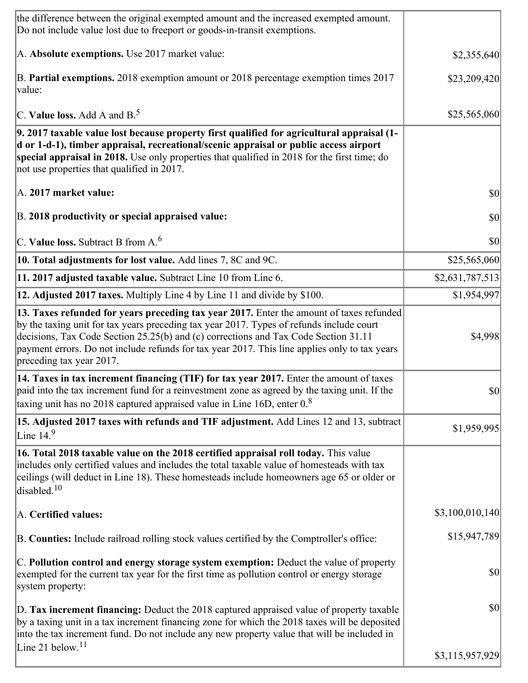| the difference between the original exempted amount and the increased exempted amount.<br>Do not include value lost due to freeport or goods-in-transit exemptions.                                                                                                                                                                                                                                      |                 |
|----------------------------------------------------------------------------------------------------------------------------------------------------------------------------------------------------------------------------------------------------------------------------------------------------------------------------------------------------------------------------------------------------------|-----------------|
| A. Absolute exemptions. Use 2017 market value:                                                                                                                                                                                                                                                                                                                                                           | \$2,355,640     |
| B. Partial exemptions. 2018 exemption amount or 2018 percentage exemption times 2017<br>value:                                                                                                                                                                                                                                                                                                           | \$23,209,420    |
| C. Value loss. Add A and $B^5$ .                                                                                                                                                                                                                                                                                                                                                                         | \$25,565,060    |
| 9. 2017 taxable value lost because property first qualified for agricultural appraisal (1-<br>d or 1-d-1), timber appraisal, recreational/scenic appraisal or public access airport<br>special appraisal in 2018. Use only properties that qualified in 2018 for the first time; do<br>not use properties that qualified in 2017.                                                                        |                 |
| A. 2017 market value:                                                                                                                                                                                                                                                                                                                                                                                    | \$0             |
| B. 2018 productivity or special appraised value:                                                                                                                                                                                                                                                                                                                                                         | \$0             |
| C. Value loss. Subtract B from $A6$                                                                                                                                                                                                                                                                                                                                                                      | \$0             |
| 10. Total adjustments for lost value. Add lines 7, 8C and 9C.                                                                                                                                                                                                                                                                                                                                            | \$25,565,060    |
| 11. 2017 adjusted taxable value. Subtract Line 10 from Line 6.                                                                                                                                                                                                                                                                                                                                           | \$2,631,787,513 |
| 12. Adjusted 2017 taxes. Multiply Line 4 by Line 11 and divide by \$100.                                                                                                                                                                                                                                                                                                                                 | \$1,954,997     |
| 13. Taxes refunded for years preceding tax year 2017. Enter the amount of taxes refunded<br>by the taxing unit for tax years preceding tax year 2017. Types of refunds include court<br>decisions, Tax Code Section 25.25(b) and (c) corrections and Tax Code Section 31.11<br>payment errors. Do not include refunds for tax year 2017. This line applies only to tax years<br>preceding tax year 2017. | \$4,998         |
| 14. Taxes in tax increment financing (TIF) for tax year 2017. Enter the amount of taxes<br>paid into the tax increment fund for a reinvestment zone as agreed by the taxing unit. If the<br>taxing unit has no 2018 captured appraised value in Line 16D, enter $0.8$                                                                                                                                    | \$0             |
| 15. Adjusted 2017 taxes with refunds and TIF adjustment. Add Lines 12 and 13, subtract<br>Line $149$                                                                                                                                                                                                                                                                                                     | \$1,959,995     |
| 16. Total 2018 taxable value on the 2018 certified appraisal roll today. This value<br>includes only certified values and includes the total taxable value of homesteads with tax<br>ceilings (will deduct in Line 18). These homesteads include homeowners age 65 or older or<br>disabled. <sup>10</sup>                                                                                                |                 |
| A. Certified values:                                                                                                                                                                                                                                                                                                                                                                                     | \$3,100,010,140 |
| B. Counties: Include railroad rolling stock values certified by the Comptroller's office:                                                                                                                                                                                                                                                                                                                | \$15,947,789    |
| C. Pollution control and energy storage system exemption: Deduct the value of property<br>exempted for the current tax year for the first time as pollution control or energy storage<br>system property:                                                                                                                                                                                                | \$0             |
| D. Tax increment financing: Deduct the 2018 captured appraised value of property taxable<br>by a taxing unit in a tax increment financing zone for which the 2018 taxes will be deposited<br>into the tax increment fund. Do not include any new property value that will be included in                                                                                                                 | \$0             |
| Line 21 below. <sup>11</sup>                                                                                                                                                                                                                                                                                                                                                                             | \$3,115,957,929 |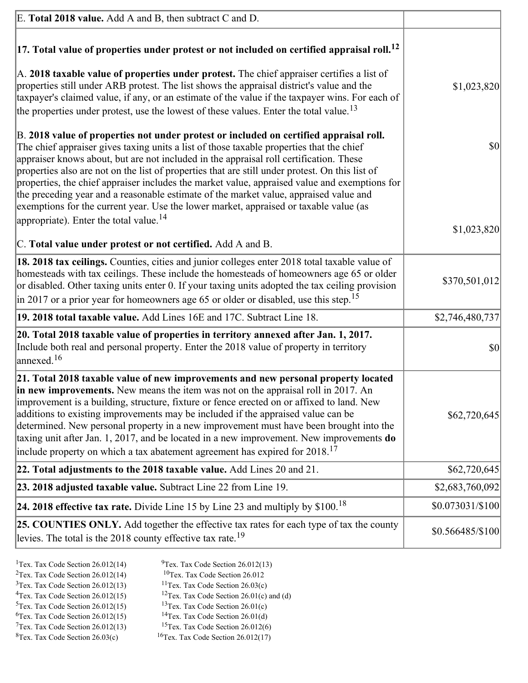| E. Total 2018 value. Add A and B, then subtract C and D.                                                                                                                                                                                                                                                                                                                                                                                                                                                                                                                                                                                                           |                   |
|--------------------------------------------------------------------------------------------------------------------------------------------------------------------------------------------------------------------------------------------------------------------------------------------------------------------------------------------------------------------------------------------------------------------------------------------------------------------------------------------------------------------------------------------------------------------------------------------------------------------------------------------------------------------|-------------------|
| $ 17$ . Total value of properties under protest or not included on certified appraisal roll. <sup>12</sup>                                                                                                                                                                                                                                                                                                                                                                                                                                                                                                                                                         |                   |
| A. 2018 taxable value of properties under protest. The chief appraiser certifies a list of<br>properties still under ARB protest. The list shows the appraisal district's value and the<br>taxpayer's claimed value, if any, or an estimate of the value if the taxpayer wins. For each of<br>the properties under protest, use the lowest of these values. Enter the total value. <sup>13</sup>                                                                                                                                                                                                                                                                   | \$1,023,820       |
| B. 2018 value of properties not under protest or included on certified appraisal roll.<br>The chief appraiser gives taxing units a list of those taxable properties that the chief<br>appraiser knows about, but are not included in the appraisal roll certification. These<br>properties also are not on the list of properties that are still under protest. On this list of<br>properties, the chief appraiser includes the market value, appraised value and exemptions for<br>the preceding year and a reasonable estimate of the market value, appraised value and<br>exemptions for the current year. Use the lower market, appraised or taxable value (as | \$0               |
| appropriate). Enter the total value. <sup>14</sup>                                                                                                                                                                                                                                                                                                                                                                                                                                                                                                                                                                                                                 | \$1,023,820       |
| C. Total value under protest or not certified. Add A and B.                                                                                                                                                                                                                                                                                                                                                                                                                                                                                                                                                                                                        |                   |
| 18. 2018 tax ceilings. Counties, cities and junior colleges enter 2018 total taxable value of<br>homesteads with tax ceilings. These include the homesteads of homeowners age 65 or older<br>or disabled. Other taxing units enter 0. If your taxing units adopted the tax ceiling provision<br>$\vert$ in 2017 or a prior year for homeowners age 65 or older or disabled, use this step. <sup>15</sup>                                                                                                                                                                                                                                                           | \$370,501,012     |
| 19. 2018 total taxable value. Add Lines 16E and 17C. Subtract Line 18.                                                                                                                                                                                                                                                                                                                                                                                                                                                                                                                                                                                             | \$2,746,480,737   |
| 20. Total 2018 taxable value of properties in territory annexed after Jan. 1, 2017.<br>Include both real and personal property. Enter the 2018 value of property in territory<br>$\frac{16}{2}$                                                                                                                                                                                                                                                                                                                                                                                                                                                                    | \$0               |
| 21. Total 2018 taxable value of new improvements and new personal property located<br>in new improvements. New means the item was not on the appraisal roll in 2017. An<br>improvement is a building, structure, fixture or fence erected on or affixed to land. New<br>additions to existing improvements may be included if the appraised value can be<br>determined. New personal property in a new improvement must have been brought into the<br>taxing unit after Jan. 1, 2017, and be located in a new improvement. New improvements do<br>include property on which a tax abatement agreement has expired for $2018$ . <sup>17</sup>                       | \$62,720,645      |
| 22. Total adjustments to the 2018 taxable value. Add Lines 20 and 21.                                                                                                                                                                                                                                                                                                                                                                                                                                                                                                                                                                                              | \$62,720,645      |
| 23. 2018 adjusted taxable value. Subtract Line 22 from Line 19.                                                                                                                                                                                                                                                                                                                                                                                                                                                                                                                                                                                                    | \$2,683,760,092   |
| 24. 2018 effective tax rate. Divide Line 15 by Line 23 and multiply by \$100. <sup>18</sup>                                                                                                                                                                                                                                                                                                                                                                                                                                                                                                                                                                        | \$0.073031/\$100  |
| 25. COUNTIES ONLY. Add together the effective tax rates for each type of tax the county<br>levies. The total is the 2018 county effective tax rate. <sup>19</sup>                                                                                                                                                                                                                                                                                                                                                                                                                                                                                                  | $$0.566485/\$100$ |
|                                                                                                                                                                                                                                                                                                                                                                                                                                                                                                                                                                                                                                                                    |                   |

- <sup>1</sup>Tex. Tax Code Section 26.012(14) <sup>9</sup>Tex. Tax Code Section 26.012(13) <sup>9</sup>Tex. Tax Code Section 26.012 <sup>2</sup>Tex. Tax Code Section 26.012(14)<br><sup>3</sup>Tex. Tax Code Section 26.012(13)
	-
	-
- <sup>3</sup>Tex. Tax Code Section 26.012(13) <sup>11</sup>Tex. Tax Code Section 26.03(c) <sup>4</sup>Tex. Tax Code Section 26.01(c)
- <sup>4</sup>Tex. Tax Code Section 26.012(15) <sup>12</sup>Tex. Tax Code Section 26.01(c) and (d)<br><sup>5</sup>Tex. Tax Code Section 26.012(15) <sup>13</sup>Tex. Tax Code Section 26.01(c) <sup>13</sup>Tex. Tax Code Section 26.01(c) <sup>14</sup>Tex. Tax Code Section 26.01(d)
	-
- <sup>6</sup>Tex. Tax Code Section 26.012(15)<br><sup>7</sup>Tex. Tax Code Section 26.012(13)
- 
- <sup>7</sup>Tex. Tax Code Section 26.012(13) <sup>15</sup>Tex. Tax Code Section 26.012(6)<br><sup>8</sup>Tex. Tax Code Section 26.03(c) <sup>16</sup>Tex. Tax Code Section 26.012(17)  $16$ Tex. Tax Code Section 26.012(17)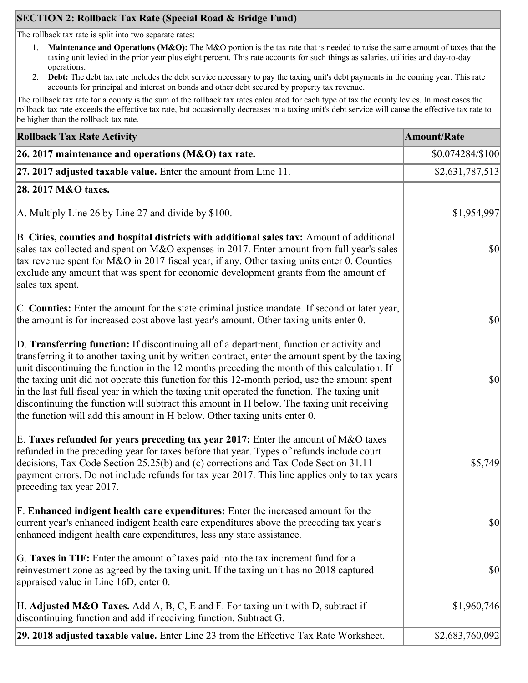## **SECTION 2: Rollback Tax Rate (Special Road & Bridge Fund)**

The rollback tax rate is split into two separate rates:

- 1. **Maintenance and Operations (M&O):** The M&O portion is the tax rate that is needed to raise the same amount of taxes that the taxing unit levied in the prior year plus eight percent. This rate accounts for such things as salaries, utilities and day-to-day operations.
- 2. **Debt:** The debt tax rate includes the debt service necessary to pay the taxing unit's debt payments in the coming year. This rate accounts for principal and interest on bonds and other debt secured by property tax revenue.

The rollback tax rate for a county is the sum of the rollback tax rates calculated for each type of tax the county levies. In most cases the rollback tax rate exceeds the effective tax rate, but occasionally decreases in a taxing unit's debt service will cause the effective tax rate to be higher than the rollback tax rate.

| <b>Rollback Tax Rate Activity</b>                                                                                                                                                                                                                                                                                                                                                                                                                                                                                                                                                                                                                                       | <b>Amount/Rate</b> |
|-------------------------------------------------------------------------------------------------------------------------------------------------------------------------------------------------------------------------------------------------------------------------------------------------------------------------------------------------------------------------------------------------------------------------------------------------------------------------------------------------------------------------------------------------------------------------------------------------------------------------------------------------------------------------|--------------------|
| 26. 2017 maintenance and operations ( $M&O$ ) tax rate.                                                                                                                                                                                                                                                                                                                                                                                                                                                                                                                                                                                                                 | $$0.074284/\$100$  |
| 27. 2017 adjusted taxable value. Enter the amount from Line 11.                                                                                                                                                                                                                                                                                                                                                                                                                                                                                                                                                                                                         | \$2,631,787,513    |
| 28. 2017 M&O taxes.                                                                                                                                                                                                                                                                                                                                                                                                                                                                                                                                                                                                                                                     |                    |
| A. Multiply Line 26 by Line 27 and divide by \$100.                                                                                                                                                                                                                                                                                                                                                                                                                                                                                                                                                                                                                     | \$1,954,997        |
| B. Cities, counties and hospital districts with additional sales tax: Amount of additional<br>sales tax collected and spent on M&O expenses in 2017. Enter amount from full year's sales<br>tax revenue spent for M&O in 2017 fiscal year, if any. Other taxing units enter 0. Counties<br>exclude any amount that was spent for economic development grants from the amount of<br>sales tax spent.                                                                                                                                                                                                                                                                     | $ 10\rangle$       |
| C. Counties: Enter the amount for the state criminal justice mandate. If second or later year,<br>the amount is for increased cost above last year's amount. Other taxing units enter 0.                                                                                                                                                                                                                                                                                                                                                                                                                                                                                | $ 10\rangle$       |
| D. Transferring function: If discontinuing all of a department, function or activity and<br>transferring it to another taxing unit by written contract, enter the amount spent by the taxing<br>unit discontinuing the function in the 12 months preceding the month of this calculation. If<br>the taxing unit did not operate this function for this 12-month period, use the amount spent<br>in the last full fiscal year in which the taxing unit operated the function. The taxing unit<br>discontinuing the function will subtract this amount in H below. The taxing unit receiving<br>the function will add this amount in H below. Other taxing units enter 0. | $ 10\rangle$       |
| E. Taxes refunded for years preceding tax year 2017: Enter the amount of M&O taxes<br>refunded in the preceding year for taxes before that year. Types of refunds include court<br>decisions, Tax Code Section 25.25(b) and (c) corrections and Tax Code Section 31.11<br>payment errors. Do not include refunds for tax year 2017. This line applies only to tax years<br>preceding tax year 2017.                                                                                                                                                                                                                                                                     | \$5,749            |
| F. Enhanced indigent health care expenditures: Enter the increased amount for the<br>current year's enhanced indigent health care expenditures above the preceding tax year's<br>enhanced indigent health care expenditures, less any state assistance.                                                                                                                                                                                                                                                                                                                                                                                                                 | $ 10\rangle$       |
| G. Taxes in TIF: Enter the amount of taxes paid into the tax increment fund for a<br>reinvestment zone as agreed by the taxing unit. If the taxing unit has no 2018 captured<br>appraised value in Line 16D, enter 0.                                                                                                                                                                                                                                                                                                                                                                                                                                                   | $ 10\rangle$       |
| H. Adjusted M&O Taxes. Add A, B, C, E and F. For taxing unit with D, subtract if<br>discontinuing function and add if receiving function. Subtract G.                                                                                                                                                                                                                                                                                                                                                                                                                                                                                                                   | \$1,960,746        |
| 29. 2018 adjusted taxable value. Enter Line 23 from the Effective Tax Rate Worksheet.                                                                                                                                                                                                                                                                                                                                                                                                                                                                                                                                                                                   | \$2,683,760,092    |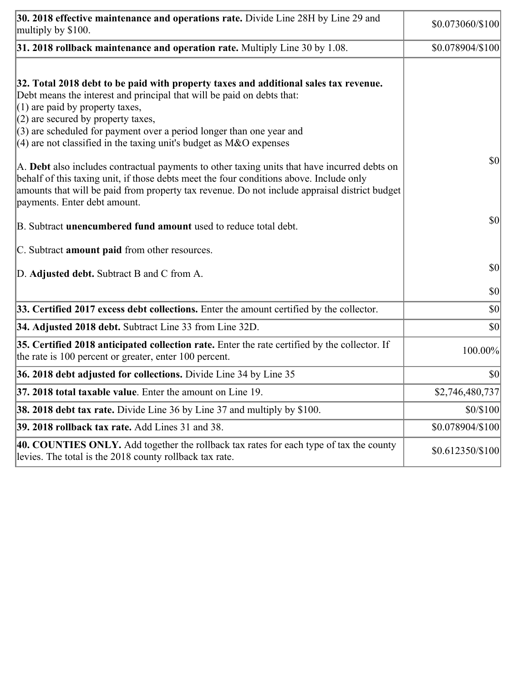| 30. 2018 effective maintenance and operations rate. Divide Line 28H by Line 29 and<br>multiply by \$100.                                                                                                                                                                                                                                                                                      | \$0.073060/\$100 |
|-----------------------------------------------------------------------------------------------------------------------------------------------------------------------------------------------------------------------------------------------------------------------------------------------------------------------------------------------------------------------------------------------|------------------|
| $31.2018$ rollback maintenance and operation rate. Multiply Line 30 by 1.08.                                                                                                                                                                                                                                                                                                                  | \$0.078904/\$100 |
| 32. Total 2018 debt to be paid with property taxes and additional sales tax revenue.<br>Debt means the interest and principal that will be paid on debts that:<br>$(1)$ are paid by property taxes,<br>$(2)$ are secured by property taxes,<br>$(3)$ are scheduled for payment over a period longer than one year and<br>$(4)$ are not classified in the taxing unit's budget as M&O expenses |                  |
| A. Debt also includes contractual payments to other taxing units that have incurred debts on<br>behalf of this taxing unit, if those debts meet the four conditions above. Include only<br>amounts that will be paid from property tax revenue. Do not include appraisal district budget<br>payments. Enter debt amount.                                                                      | \$0              |
| B. Subtract unencumbered fund amount used to reduce total debt.                                                                                                                                                                                                                                                                                                                               | $ 10\rangle$     |
| C. Subtract <b>amount paid</b> from other resources.                                                                                                                                                                                                                                                                                                                                          |                  |
| D. Adjusted debt. Subtract B and C from A.                                                                                                                                                                                                                                                                                                                                                    | \$0              |
|                                                                                                                                                                                                                                                                                                                                                                                               | \$0              |
| 33. Certified 2017 excess debt collections. Enter the amount certified by the collector.                                                                                                                                                                                                                                                                                                      | \$0              |
| 34. Adjusted 2018 debt. Subtract Line 33 from Line 32D.                                                                                                                                                                                                                                                                                                                                       | \$0              |
| 35. Certified 2018 anticipated collection rate. Enter the rate certified by the collector. If<br>the rate is 100 percent or greater, enter 100 percent.                                                                                                                                                                                                                                       | 100.00%          |
| 36. 2018 debt adjusted for collections. Divide Line 34 by Line 35                                                                                                                                                                                                                                                                                                                             | \$0              |
| 37. 2018 total taxable value. Enter the amount on Line 19.                                                                                                                                                                                                                                                                                                                                    | \$2,746,480,737  |
| <b>38. 2018 debt tax rate.</b> Divide Line 36 by Line 37 and multiply by \$100.                                                                                                                                                                                                                                                                                                               | \$0/\$100        |
| 39. 2018 rollback tax rate. Add Lines 31 and 38.                                                                                                                                                                                                                                                                                                                                              | \$0.078904/\$100 |
| 40. COUNTIES ONLY. Add together the rollback tax rates for each type of tax the county<br>levies. The total is the 2018 county rollback tax rate.                                                                                                                                                                                                                                             | \$0.612350/\$100 |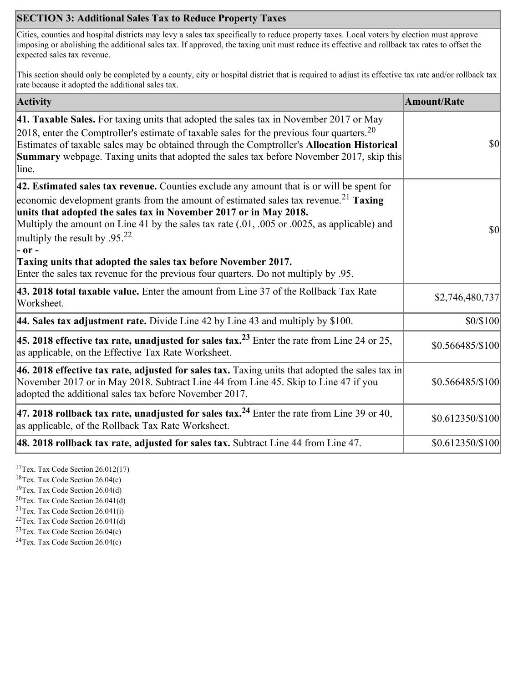## **SECTION 3: Additional Sales Tax to Reduce Property Taxes**

Cities, counties and hospital districts may levy a sales tax specifically to reduce property taxes. Local voters by election must approve imposing or abolishing the additional sales tax. If approved, the taxing unit must reduce its effective and rollback tax rates to offset the expected sales tax revenue.

This section should only be completed by a county, city or hospital district that is required to adjust its effective tax rate and/or rollback tax rate because it adopted the additional sales tax.

| <b>Activity</b>                                                                                                                                                                                                                                                                                                                                                                                                                                                                                                                                                                    | <b>Amount/Rate</b> |
|------------------------------------------------------------------------------------------------------------------------------------------------------------------------------------------------------------------------------------------------------------------------------------------------------------------------------------------------------------------------------------------------------------------------------------------------------------------------------------------------------------------------------------------------------------------------------------|--------------------|
| 41. Taxable Sales. For taxing units that adopted the sales tax in November 2017 or May<br>[2018, enter the Comptroller's estimate of taxable sales for the previous four quarters. <sup>20</sup><br>Estimates of taxable sales may be obtained through the Comptroller's Allocation Historical<br>Summary webpage. Taxing units that adopted the sales tax before November 2017, skip this<br>line.                                                                                                                                                                                | $ 10\rangle$       |
| 42. Estimated sales tax revenue. Counties exclude any amount that is or will be spent for<br>economic development grants from the amount of estimated sales tax revenue. <sup>21</sup> Taxing<br>units that adopted the sales tax in November 2017 or in May 2018.<br>Multiply the amount on Line 41 by the sales tax rate (.01, .005 or .0025, as applicable) and<br>multiply the result by .95. <sup>22</sup><br> - or -<br>Taxing units that adopted the sales tax before November 2017.<br>Enter the sales tax revenue for the previous four quarters. Do not multiply by .95. | $ 10\rangle$       |
| 43. 2018 total taxable value. Enter the amount from Line 37 of the Rollback Tax Rate<br>Worksheet.                                                                                                                                                                                                                                                                                                                                                                                                                                                                                 | \$2,746,480,737    |
| 44. Sales tax adjustment rate. Divide Line 42 by Line 43 and multiply by $$100$ .                                                                                                                                                                                                                                                                                                                                                                                                                                                                                                  | \$0/\$100          |
| 45. 2018 effective tax rate, unadjusted for sales tax. <sup>23</sup> Enter the rate from Line 24 or 25,<br>as applicable, on the Effective Tax Rate Worksheet.                                                                                                                                                                                                                                                                                                                                                                                                                     | \$0.566485/\$100   |
| 46. 2018 effective tax rate, adjusted for sales tax. Taxing units that adopted the sales tax in<br>November 2017 or in May 2018. Subtract Line 44 from Line 45. Skip to Line 47 if you<br>adopted the additional sales tax before November 2017.                                                                                                                                                                                                                                                                                                                                   | \$0.566485/\$100   |
| 47. 2018 rollback tax rate, unadjusted for sales tax. <sup>24</sup> Enter the rate from Line 39 or 40,<br>as applicable, of the Rollback Tax Rate Worksheet.                                                                                                                                                                                                                                                                                                                                                                                                                       | \$0.612350/\$100   |
| 48. 2018 rollback tax rate, adjusted for sales tax. Subtract Line 44 from Line 47.                                                                                                                                                                                                                                                                                                                                                                                                                                                                                                 | $$0.612350/\$100$  |

<sup>17</sup>Tex. Tax Code Section 26.012(17)

<sup>18</sup>Tex. Tax Code Section 26.04(c)

<sup>19</sup>Tex. Tax Code Section 26.04(d)

 $20$ Tex. Tax Code Section 26.041(d)

<sup>21</sup>Tex. Tax Code Section  $26.041(i)$ 

 $22$ Tex. Tax Code Section 26.041(d)

 $23$ Tex. Tax Code Section 26.04(c)  $24$ Tex. Tax Code Section 26.04(c)